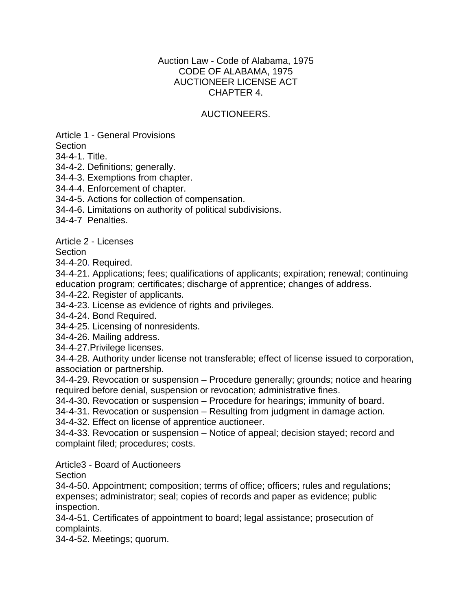#### Auction Law - Code of Alabama, 1975 CODE OF ALABAMA, 1975 AUCTIONEER LICENSE ACT CHAPTER 4.

#### AUCTIONEERS.

Article 1 - General Provisions

**Section** 

34-4-1. Title.

34-4-2. Definitions; generally.

34-4-3. Exemptions from chapter.

34-4-4. Enforcement of chapter.

34-4-5. Actions for collection of compensation.

34-4-6. Limitations on authority of political subdivisions.

34-4-7 Penalties.

Article 2 - Licenses

**Section** 

34-4-20. Required.

34-4-21. Applications; fees; qualifications of applicants; expiration; renewal; continuing education program; certificates; discharge of apprentice; changes of address.

34-4-22. Register of applicants.

34-4-23. License as evidence of rights and privileges.

34-4-24. Bond Required.

34-4-25. Licensing of nonresidents.

34-4-26. Mailing address.

34-4-27.Privilege licenses.

34-4-28. Authority under license not transferable; effect of license issued to corporation, association or partnership.

34-4-29. Revocation or suspension – Procedure generally; grounds; notice and hearing required before denial, suspension or revocation; administrative fines.

34-4-30. Revocation or suspension – Procedure for hearings; immunity of board.

34-4-31. Revocation or suspension – Resulting from judgment in damage action.

34-4-32. Effect on license of apprentice auctioneer.

34-4-33. Revocation or suspension – Notice of appeal; decision stayed; record and complaint filed; procedures; costs.

Article3 - Board of Auctioneers

Section

34-4-50. Appointment; composition; terms of office; officers; rules and regulations; expenses; administrator; seal; copies of records and paper as evidence; public inspection.

34-4-51. Certificates of appointment to board; legal assistance; prosecution of complaints.

34-4-52. Meetings; quorum.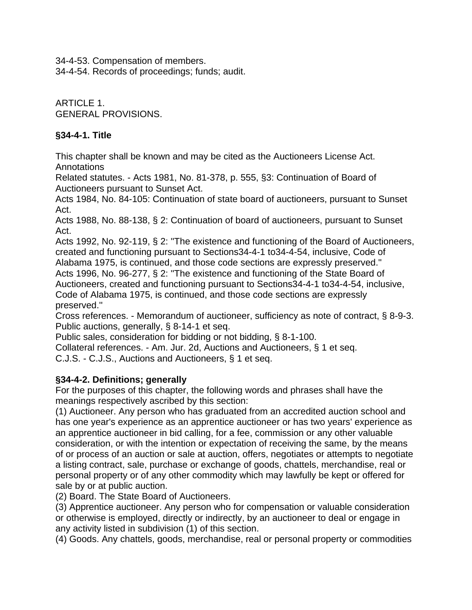34-4-53. Compensation of members.

34-4-54. Records of proceedings; funds; audit.

ARTICLE 1. GENERAL PROVISIONS.

## **§34-4-1. Title**

This chapter shall be known and may be cited as the Auctioneers License Act. Annotations

Related statutes. - Acts 1981, No. 81-378, p. 555, §3: Continuation of Board of Auctioneers pursuant to Sunset Act.

Acts 1984, No. 84-105: Continuation of state board of auctioneers, pursuant to Sunset Act.

Acts 1988, No. 88-138, § 2: Continuation of board of auctioneers, pursuant to Sunset Act.

Acts 1992, No. 92-119, § 2: ''The existence and functioning of the Board of Auctioneers, created and functioning pursuant to Sections34-4-1 to34-4-54, inclusive, Code of

Alabama 1975, is continued, and those code sections are expressly preserved.''

Acts 1996, No. 96-277, § 2: ''The existence and functioning of the State Board of Auctioneers, created and functioning pursuant to Sections34-4-1 to34-4-54, inclusive, Code of Alabama 1975, is continued, and those code sections are expressly preserved.''

Cross references. - Memorandum of auctioneer, sufficiency as note of contract, § 8-9-3. Public auctions, generally, § 8-14-1 et seq.

Public sales, consideration for bidding or not bidding, § 8-1-100.

Collateral references. - Am. Jur. 2d, Auctions and Auctioneers, § 1 et seq.

C.J.S. - C.J.S., Auctions and Auctioneers, § 1 et seq.

### **§34-4-2. Definitions; generally**

For the purposes of this chapter, the following words and phrases shall have the meanings respectively ascribed by this section:

(1) Auctioneer. Any person who has graduated from an accredited auction school and has one year's experience as an apprentice auctioneer or has two years' experience as an apprentice auctioneer in bid calling, for a fee, commission or any other valuable consideration, or with the intention or expectation of receiving the same, by the means of or process of an auction or sale at auction, offers, negotiates or attempts to negotiate a listing contract, sale, purchase or exchange of goods, chattels, merchandise, real or personal property or of any other commodity which may lawfully be kept or offered for sale by or at public auction.

(2) Board. The State Board of Auctioneers.

(3) Apprentice auctioneer. Any person who for compensation or valuable consideration or otherwise is employed, directly or indirectly, by an auctioneer to deal or engage in any activity listed in subdivision (1) of this section.

(4) Goods. Any chattels, goods, merchandise, real or personal property or commodities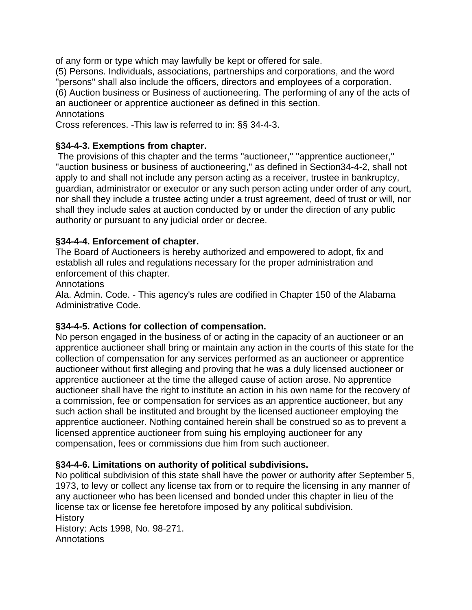of any form or type which may lawfully be kept or offered for sale.

(5) Persons. Individuals, associations, partnerships and corporations, and the word ''persons'' shall also include the officers, directors and employees of a corporation. (6) Auction business or Business of auctioneering. The performing of any of the acts of an auctioneer or apprentice auctioneer as defined in this section. Annotations

Cross references. -This law is referred to in: §§ 34-4-3.

## **§34-4-3. Exemptions from chapter.**

 The provisions of this chapter and the terms ''auctioneer,'' ''apprentice auctioneer,'' "auction business or business of auctioneering," as defined in Section34-4-2, shall not apply to and shall not include any person acting as a receiver, trustee in bankruptcy, guardian, administrator or executor or any such person acting under order of any court, nor shall they include a trustee acting under a trust agreement, deed of trust or will, nor shall they include sales at auction conducted by or under the direction of any public authority or pursuant to any judicial order or decree.

### **§34-4-4. Enforcement of chapter.**

The Board of Auctioneers is hereby authorized and empowered to adopt, fix and establish all rules and regulations necessary for the proper administration and enforcement of this chapter.

**Annotations** 

Ala. Admin. Code. - This agency's rules are codified in Chapter 150 of the Alabama Administrative Code.

### **§34-4-5. Actions for collection of compensation.**

No person engaged in the business of or acting in the capacity of an auctioneer or an apprentice auctioneer shall bring or maintain any action in the courts of this state for the collection of compensation for any services performed as an auctioneer or apprentice auctioneer without first alleging and proving that he was a duly licensed auctioneer or apprentice auctioneer at the time the alleged cause of action arose. No apprentice auctioneer shall have the right to institute an action in his own name for the recovery of a commission, fee or compensation for services as an apprentice auctioneer, but any such action shall be instituted and brought by the licensed auctioneer employing the apprentice auctioneer. Nothing contained herein shall be construed so as to prevent a licensed apprentice auctioneer from suing his employing auctioneer for any compensation, fees or commissions due him from such auctioneer.

### **§34-4-6. Limitations on authority of political subdivisions.**

No political subdivision of this state shall have the power or authority after September 5, 1973, to levy or collect any license tax from or to require the licensing in any manner of any auctioneer who has been licensed and bonded under this chapter in lieu of the license tax or license fee heretofore imposed by any political subdivision. **History** 

History: Acts 1998, No. 98-271. **Annotations**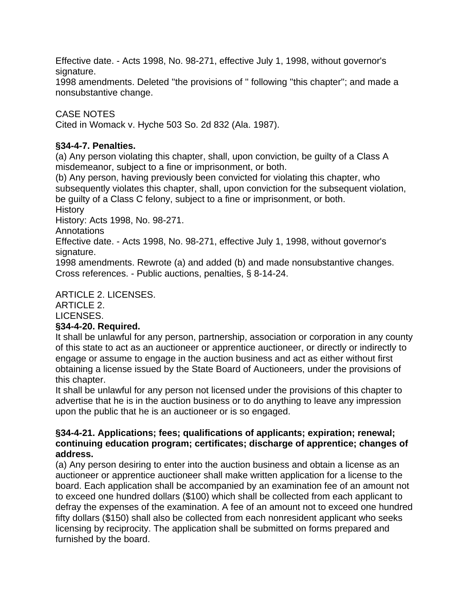Effective date. - Acts 1998, No. 98-271, effective July 1, 1998, without governor's signature.

1998 amendments. Deleted ''the provisions of '' following ''this chapter''; and made a nonsubstantive change.

# CASE NOTES

Cited in Womack v. Hyche 503 So. 2d 832 (Ala. 1987).

### **§34-4-7. Penalties.**

(a) Any person violating this chapter, shall, upon conviction, be guilty of a Class A misdemeanor, subject to a fine or imprisonment, or both.

(b) Any person, having previously been convicted for violating this chapter, who subsequently violates this chapter, shall, upon conviction for the subsequent violation, be guilty of a Class C felony, subject to a fine or imprisonment, or both.

**History** 

History: Acts 1998, No. 98-271.

Annotations

Effective date. - Acts 1998, No. 98-271, effective July 1, 1998, without governor's signature.

1998 amendments. Rewrote (a) and added (b) and made nonsubstantive changes. Cross references. - Public auctions, penalties, § 8-14-24.

### ARTICLE 2. LICENSES.

ARTICLE 2.

LICENSES.

### **§34-4-20. Required.**

It shall be unlawful for any person, partnership, association or corporation in any county of this state to act as an auctioneer or apprentice auctioneer, or directly or indirectly to engage or assume to engage in the auction business and act as either without first obtaining a license issued by the State Board of Auctioneers, under the provisions of this chapter.

It shall be unlawful for any person not licensed under the provisions of this chapter to advertise that he is in the auction business or to do anything to leave any impression upon the public that he is an auctioneer or is so engaged.

#### **§34-4-21. Applications; fees; qualifications of applicants; expiration; renewal; continuing education program; certificates; discharge of apprentice; changes of address.**

(a) Any person desiring to enter into the auction business and obtain a license as an auctioneer or apprentice auctioneer shall make written application for a license to the board. Each application shall be accompanied by an examination fee of an amount not to exceed one hundred dollars (\$100) which shall be collected from each applicant to defray the expenses of the examination. A fee of an amount not to exceed one hundred fifty dollars (\$150) shall also be collected from each nonresident applicant who seeks licensing by reciprocity. The application shall be submitted on forms prepared and furnished by the board.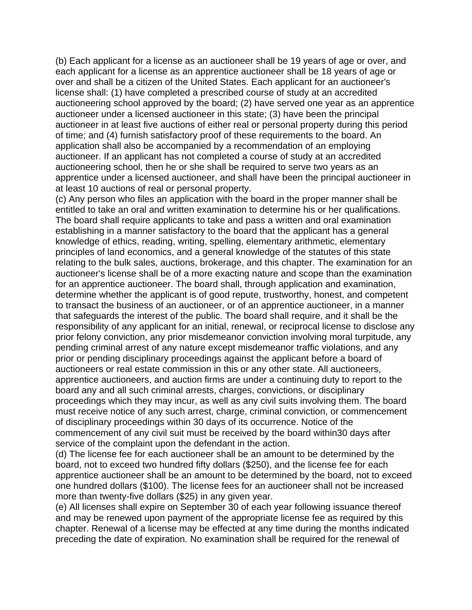(b) Each applicant for a license as an auctioneer shall be 19 years of age or over, and each applicant for a license as an apprentice auctioneer shall be 18 years of age or over and shall be a citizen of the United States. Each applicant for an auctioneer's license shall: (1) have completed a prescribed course of study at an accredited auctioneering school approved by the board; (2) have served one year as an apprentice auctioneer under a licensed auctioneer in this state; (3) have been the principal auctioneer in at least five auctions of either real or personal property during this period of time; and (4) furnish satisfactory proof of these requirements to the board. An application shall also be accompanied by a recommendation of an employing auctioneer. If an applicant has not completed a course of study at an accredited auctioneering school, then he or she shall be required to serve two years as an apprentice under a licensed auctioneer, and shall have been the principal auctioneer in at least 10 auctions of real or personal property.

(c) Any person who files an application with the board in the proper manner shall be entitled to take an oral and written examination to determine his or her qualifications. The board shall require applicants to take and pass a written and oral examination establishing in a manner satisfactory to the board that the applicant has a general knowledge of ethics, reading, writing, spelling, elementary arithmetic, elementary principles of land economics, and a general knowledge of the statutes of this state relating to the bulk sales, auctions, brokerage, and this chapter. The examination for an auctioneer's license shall be of a more exacting nature and scope than the examination for an apprentice auctioneer. The board shall, through application and examination, determine whether the applicant is of good repute, trustworthy, honest, and competent to transact the business of an auctioneer, or of an apprentice auctioneer, in a manner that safeguards the interest of the public. The board shall require, and it shall be the responsibility of any applicant for an initial, renewal, or reciprocal license to disclose any prior felony conviction, any prior misdemeanor conviction involving moral turpitude, any pending criminal arrest of any nature except misdemeanor traffic violations, and any prior or pending disciplinary proceedings against the applicant before a board of auctioneers or real estate commission in this or any other state. All auctioneers, apprentice auctioneers, and auction firms are under a continuing duty to report to the board any and all such criminal arrests, charges, convictions, or disciplinary proceedings which they may incur, as well as any civil suits involving them. The board must receive notice of any such arrest, charge, criminal conviction, or commencement of disciplinary proceedings within 30 days of its occurrence. Notice of the commencement of any civil suit must be received by the board within30 days after service of the complaint upon the defendant in the action.

(d) The license fee for each auctioneer shall be an amount to be determined by the board, not to exceed two hundred fifty dollars (\$250), and the license fee for each apprentice auctioneer shall be an amount to be determined by the board, not to exceed one hundred dollars (\$100). The license fees for an auctioneer shall not be increased more than twenty-five dollars (\$25) in any given year.

(e) All licenses shall expire on September 30 of each year following issuance thereof and may be renewed upon payment of the appropriate license fee as required by this chapter. Renewal of a license may be effected at any time during the months indicated preceding the date of expiration. No examination shall be required for the renewal of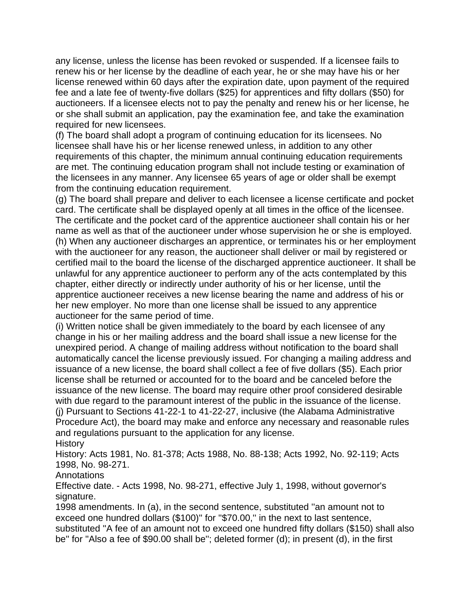any license, unless the license has been revoked or suspended. If a licensee fails to renew his or her license by the deadline of each year, he or she may have his or her license renewed within 60 days after the expiration date, upon payment of the required fee and a late fee of twenty-five dollars (\$25) for apprentices and fifty dollars (\$50) for auctioneers. If a licensee elects not to pay the penalty and renew his or her license, he or she shall submit an application, pay the examination fee, and take the examination required for new licensees.

(f) The board shall adopt a program of continuing education for its licensees. No licensee shall have his or her license renewed unless, in addition to any other requirements of this chapter, the minimum annual continuing education requirements are met. The continuing education program shall not include testing or examination of the licensees in any manner. Any licensee 65 years of age or older shall be exempt from the continuing education requirement.

(g) The board shall prepare and deliver to each licensee a license certificate and pocket card. The certificate shall be displayed openly at all times in the office of the licensee. The certificate and the pocket card of the apprentice auctioneer shall contain his or her name as well as that of the auctioneer under whose supervision he or she is employed. (h) When any auctioneer discharges an apprentice, or terminates his or her employment with the auctioneer for any reason, the auctioneer shall deliver or mail by registered or certified mail to the board the license of the discharged apprentice auctioneer. It shall be unlawful for any apprentice auctioneer to perform any of the acts contemplated by this chapter, either directly or indirectly under authority of his or her license, until the apprentice auctioneer receives a new license bearing the name and address of his or her new employer. No more than one license shall be issued to any apprentice auctioneer for the same period of time.

(i) Written notice shall be given immediately to the board by each licensee of any change in his or her mailing address and the board shall issue a new license for the unexpired period. A change of mailing address without notification to the board shall automatically cancel the license previously issued. For changing a mailing address and issuance of a new license, the board shall collect a fee of five dollars (\$5). Each prior license shall be returned or accounted for to the board and be canceled before the issuance of the new license. The board may require other proof considered desirable with due regard to the paramount interest of the public in the issuance of the license. (j) Pursuant to Sections 41-22-1 to 41-22-27, inclusive (the Alabama Administrative Procedure Act), the board may make and enforce any necessary and reasonable rules and regulations pursuant to the application for any license.

**History** 

History: Acts 1981, No. 81-378; Acts 1988, No. 88-138; Acts 1992, No. 92-119; Acts 1998, No. 98-271.

**Annotations** 

Effective date. - Acts 1998, No. 98-271, effective July 1, 1998, without governor's signature.

1998 amendments. In (a), in the second sentence, substituted ''an amount not to exceed one hundred dollars (\$100)'' for ''\$70.00,'' in the next to last sentence, substituted ''A fee of an amount not to exceed one hundred fifty dollars (\$150) shall also be'' for ''Also a fee of \$90.00 shall be''; deleted former (d); in present (d), in the first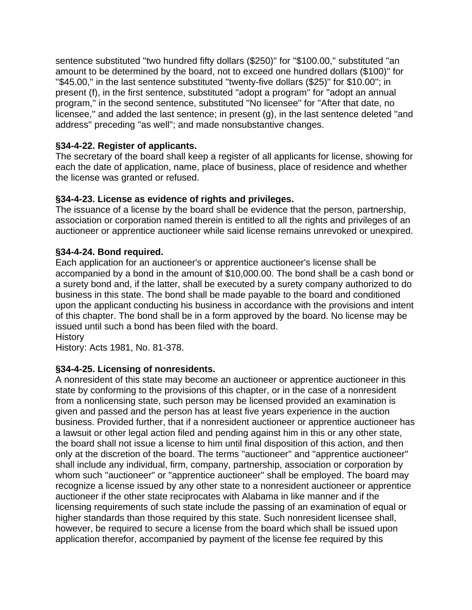sentence substituted "two hundred fifty dollars (\$250)" for "\$100.00," substituted "an amount to be determined by the board, not to exceed one hundred dollars (\$100)'' for ''\$45.00,'' in the last sentence substituted ''twenty-five dollars (\$25)'' for \$10.00''; in present (f), in the first sentence, substituted ''adopt a program'' for ''adopt an annual program,'' in the second sentence, substituted ''No licensee'' for ''After that date, no licensee,'' and added the last sentence; in present (g), in the last sentence deleted ''and address'' preceding ''as well''; and made nonsubstantive changes.

## **§34-4-22. Register of applicants.**

The secretary of the board shall keep a register of all applicants for license, showing for each the date of application, name, place of business, place of residence and whether the license was granted or refused.

# **§34-4-23. License as evidence of rights and privileges.**

The issuance of a license by the board shall be evidence that the person, partnership, association or corporation named therein is entitled to all the rights and privileges of an auctioneer or apprentice auctioneer while said license remains unrevoked or unexpired.

# **§34-4-24. Bond required.**

Each application for an auctioneer's or apprentice auctioneer's license shall be accompanied by a bond in the amount of \$10,000.00. The bond shall be a cash bond or a surety bond and, if the latter, shall be executed by a surety company authorized to do business in this state. The bond shall be made payable to the board and conditioned upon the applicant conducting his business in accordance with the provisions and intent of this chapter. The bond shall be in a form approved by the board. No license may be issued until such a bond has been filed with the board.

**History** 

History: Acts 1981, No. 81-378.

### **§34-4-25. Licensing of nonresidents.**

A nonresident of this state may become an auctioneer or apprentice auctioneer in this state by conforming to the provisions of this chapter, or in the case of a nonresident from a nonlicensing state, such person may be licensed provided an examination is given and passed and the person has at least five years experience in the auction business. Provided further, that if a nonresident auctioneer or apprentice auctioneer has a lawsuit or other legal action filed and pending against him in this or any other state, the board shall not issue a license to him until final disposition of this action, and then only at the discretion of the board. The terms ''auctioneer'' and ''apprentice auctioneer'' shall include any individual, firm, company, partnership, association or corporation by whom such ''auctioneer'' or ''apprentice auctioneer'' shall be employed. The board may recognize a license issued by any other state to a nonresident auctioneer or apprentice auctioneer if the other state reciprocates with Alabama in like manner and if the licensing requirements of such state include the passing of an examination of equal or higher standards than those required by this state. Such nonresident licensee shall, however, be required to secure a license from the board which shall be issued upon application therefor, accompanied by payment of the license fee required by this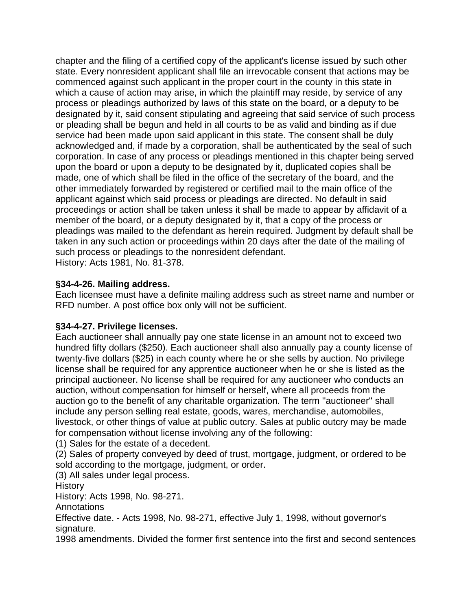chapter and the filing of a certified copy of the applicant's license issued by such other state. Every nonresident applicant shall file an irrevocable consent that actions may be commenced against such applicant in the proper court in the county in this state in which a cause of action may arise, in which the plaintiff may reside, by service of any process or pleadings authorized by laws of this state on the board, or a deputy to be designated by it, said consent stipulating and agreeing that said service of such process or pleading shall be begun and held in all courts to be as valid and binding as if due service had been made upon said applicant in this state. The consent shall be duly acknowledged and, if made by a corporation, shall be authenticated by the seal of such corporation. In case of any process or pleadings mentioned in this chapter being served upon the board or upon a deputy to be designated by it, duplicated copies shall be made, one of which shall be filed in the office of the secretary of the board, and the other immediately forwarded by registered or certified mail to the main office of the applicant against which said process or pleadings are directed. No default in said proceedings or action shall be taken unless it shall be made to appear by affidavit of a member of the board, or a deputy designated by it, that a copy of the process or pleadings was mailed to the defendant as herein required. Judgment by default shall be taken in any such action or proceedings within 20 days after the date of the mailing of such process or pleadings to the nonresident defendant. History: Acts 1981, No. 81-378.

#### **§34-4-26. Mailing address.**

Each licensee must have a definite mailing address such as street name and number or RFD number. A post office box only will not be sufficient.

### **§34-4-27. Privilege licenses.**

Each auctioneer shall annually pay one state license in an amount not to exceed two hundred fifty dollars (\$250). Each auctioneer shall also annually pay a county license of twenty-five dollars (\$25) in each county where he or she sells by auction. No privilege license shall be required for any apprentice auctioneer when he or she is listed as the principal auctioneer. No license shall be required for any auctioneer who conducts an auction, without compensation for himself or herself, where all proceeds from the auction go to the benefit of any charitable organization. The term ''auctioneer'' shall include any person selling real estate, goods, wares, merchandise, automobiles, livestock, or other things of value at public outcry. Sales at public outcry may be made for compensation without license involving any of the following:

(1) Sales for the estate of a decedent.

(2) Sales of property conveyed by deed of trust, mortgage, judgment, or ordered to be sold according to the mortgage, judgment, or order.

(3) All sales under legal process.

History

History: Acts 1998, No. 98-271.

Annotations

Effective date. - Acts 1998, No. 98-271, effective July 1, 1998, without governor's signature.

1998 amendments. Divided the former first sentence into the first and second sentences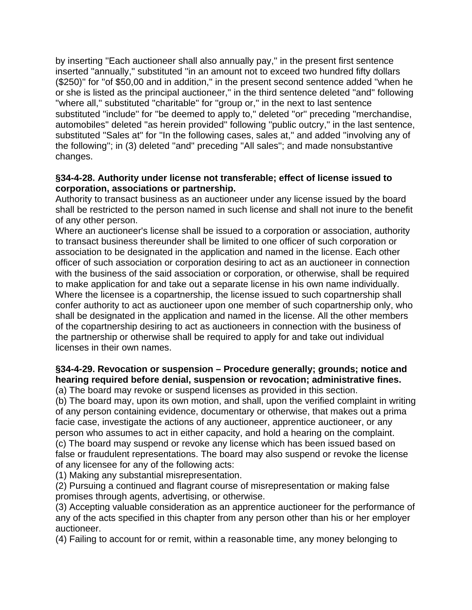by inserting ''Each auctioneer shall also annually pay,'' in the present first sentence inserted ''annually,'' substituted ''in an amount not to exceed two hundred fifty dollars (\$250)'' for ''of \$50,00 and in addition,'' in the present second sentence added ''when he or she is listed as the principal auctioneer,'' in the third sentence deleted ''and'' following ''where all,'' substituted ''charitable'' for ''group or,'' in the next to last sentence substituted "include" for "be deemed to apply to," deleted "or" preceding "merchandise, automobiles'' deleted ''as herein provided'' following ''public outcry,'' in the last sentence, substituted "Sales at" for "In the following cases, sales at," and added "involving any of the following''; in (3) deleted ''and'' preceding ''All sales''; and made nonsubstantive changes.

#### **§34-4-28. Authority under license not transferable; effect of license issued to corporation, associations or partnership.**

Authority to transact business as an auctioneer under any license issued by the board shall be restricted to the person named in such license and shall not inure to the benefit of any other person.

Where an auctioneer's license shall be issued to a corporation or association, authority to transact business thereunder shall be limited to one officer of such corporation or association to be designated in the application and named in the license. Each other officer of such association or corporation desiring to act as an auctioneer in connection with the business of the said association or corporation, or otherwise, shall be required to make application for and take out a separate license in his own name individually. Where the licensee is a copartnership, the license issued to such copartnership shall confer authority to act as auctioneer upon one member of such copartnership only, who shall be designated in the application and named in the license. All the other members of the copartnership desiring to act as auctioneers in connection with the business of the partnership or otherwise shall be required to apply for and take out individual licenses in their own names.

#### **§34-4-29. Revocation or suspension – Procedure generally; grounds; notice and hearing required before denial, suspension or revocation; administrative fines.** (a) The board may revoke or suspend licenses as provided in this section.

(b) The board may, upon its own motion, and shall, upon the verified complaint in writing of any person containing evidence, documentary or otherwise, that makes out a prima facie case, investigate the actions of any auctioneer, apprentice auctioneer, or any person who assumes to act in either capacity, and hold a hearing on the complaint. (c) The board may suspend or revoke any license which has been issued based on false or fraudulent representations. The board may also suspend or revoke the license of any licensee for any of the following acts:

(1) Making any substantial misrepresentation.

(2) Pursuing a continued and flagrant course of misrepresentation or making false promises through agents, advertising, or otherwise.

(3) Accepting valuable consideration as an apprentice auctioneer for the performance of any of the acts specified in this chapter from any person other than his or her employer auctioneer.

(4) Failing to account for or remit, within a reasonable time, any money belonging to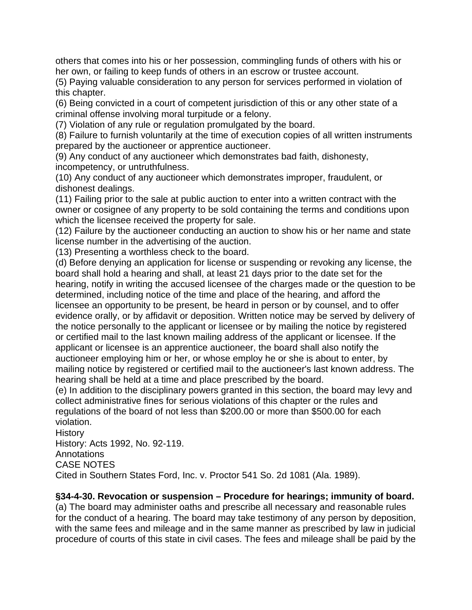others that comes into his or her possession, commingling funds of others with his or her own, or failing to keep funds of others in an escrow or trustee account.

(5) Paying valuable consideration to any person for services performed in violation of this chapter.

(6) Being convicted in a court of competent jurisdiction of this or any other state of a criminal offense involving moral turpitude or a felony.

(7) Violation of any rule or regulation promulgated by the board.

(8) Failure to furnish voluntarily at the time of execution copies of all written instruments prepared by the auctioneer or apprentice auctioneer.

(9) Any conduct of any auctioneer which demonstrates bad faith, dishonesty, incompetency, or untruthfulness.

(10) Any conduct of any auctioneer which demonstrates improper, fraudulent, or dishonest dealings.

(11) Failing prior to the sale at public auction to enter into a written contract with the owner or cosignee of any property to be sold containing the terms and conditions upon which the licensee received the property for sale.

(12) Failure by the auctioneer conducting an auction to show his or her name and state license number in the advertising of the auction.

(13) Presenting a worthless check to the board.

(d) Before denying an application for license or suspending or revoking any license, the board shall hold a hearing and shall, at least 21 days prior to the date set for the hearing, notify in writing the accused licensee of the charges made or the question to be determined, including notice of the time and place of the hearing, and afford the licensee an opportunity to be present, be heard in person or by counsel, and to offer evidence orally, or by affidavit or deposition. Written notice may be served by delivery of the notice personally to the applicant or licensee or by mailing the notice by registered or certified mail to the last known mailing address of the applicant or licensee. If the applicant or licensee is an apprentice auctioneer, the board shall also notify the auctioneer employing him or her, or whose employ he or she is about to enter, by mailing notice by registered or certified mail to the auctioneer's last known address. The hearing shall be held at a time and place prescribed by the board.

(e) In addition to the disciplinary powers granted in this section, the board may levy and collect administrative fines for serious violations of this chapter or the rules and regulations of the board of not less than \$200.00 or more than \$500.00 for each violation.

History

History: Acts 1992, No. 92-119.

Annotations

CASE NOTES

Cited in Southern States Ford, Inc. v. Proctor 541 So. 2d 1081 (Ala. 1989).

### **§34-4-30. Revocation or suspension – Procedure for hearings; immunity of board.**

(a) The board may administer oaths and prescribe all necessary and reasonable rules for the conduct of a hearing. The board may take testimony of any person by deposition, with the same fees and mileage and in the same manner as prescribed by law in judicial procedure of courts of this state in civil cases. The fees and mileage shall be paid by the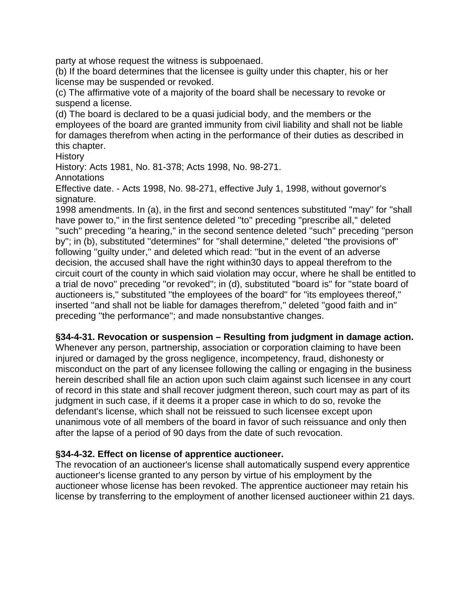party at whose request the witness is subpoenaed.

(b) If the board determines that the licensee is guilty under this chapter, his or her license may be suspended or revoked.

(c) The affirmative vote of a majority of the board shall be necessary to revoke or suspend a license.

(d) The board is declared to be a quasi judicial body, and the members or the employees of the board are granted immunity from civil liability and shall not be liable for damages therefrom when acting in the performance of their duties as described in this chapter.

**History** 

History: Acts 1981, No. 81-378; Acts 1998, No. 98-271.

**Annotations** 

Effective date. - Acts 1998, No. 98-271, effective July 1, 1998, without governor's signature.

1998 amendments. In (a), in the first and second sentences substituted ''may'' for ''shall have power to,'' in the first sentence deleted ''to'' preceding ''prescribe all,'' deleted "such" preceding "a hearing," in the second sentence deleted "such" preceding "person by''; in (b), substituted ''determines'' for ''shall determine,'' deleted ''the provisions of'' following ''guilty under,'' and deleted which read: ''but in the event of an adverse decision, the accused shall have the right within30 days to appeal therefrom to the circuit court of the county in which said violation may occur, where he shall be entitled to a trial de novo'' preceding ''or revoked''; in (d), substituted ''board is'' for ''state board of auctioneers is,'' substituted ''the employees of the board'' for ''its employees thereof,'' inserted ''and shall not be liable for damages therefrom,'' deleted ''good faith and in'' preceding ''the performance''; and made nonsubstantive changes.

#### **§34-4-31. Revocation or suspension – Resulting from judgment in damage action.**

Whenever any person, partnership, association or corporation claiming to have been injured or damaged by the gross negligence, incompetency, fraud, dishonesty or misconduct on the part of any licensee following the calling or engaging in the business herein described shall file an action upon such claim against such licensee in any court of record in this state and shall recover judgment thereon, such court may as part of its judgment in such case, if it deems it a proper case in which to do so, revoke the defendant's license, which shall not be reissued to such licensee except upon unanimous vote of all members of the board in favor of such reissuance and only then after the lapse of a period of 90 days from the date of such revocation.

#### **§34-4-32. Effect on license of apprentice auctioneer.**

The revocation of an auctioneer's license shall automatically suspend every apprentice auctioneer's license granted to any person by virtue of his employment by the auctioneer whose license has been revoked. The apprentice auctioneer may retain his license by transferring to the employment of another licensed auctioneer within 21 days.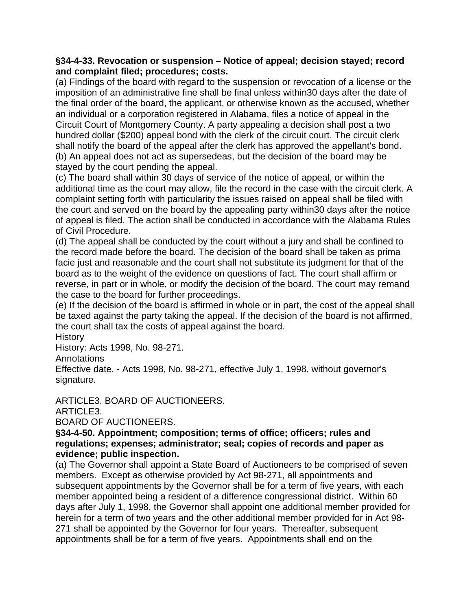#### **§34-4-33. Revocation or suspension – Notice of appeal; decision stayed; record and complaint filed; procedures; costs.**

(a) Findings of the board with regard to the suspension or revocation of a license or the imposition of an administrative fine shall be final unless within30 days after the date of the final order of the board, the applicant, or otherwise known as the accused, whether an individual or a corporation registered in Alabama, files a notice of appeal in the Circuit Court of Montgomery County. A party appealing a decision shall post a two hundred dollar (\$200) appeal bond with the clerk of the circuit court. The circuit clerk shall notify the board of the appeal after the clerk has approved the appellant's bond. (b) An appeal does not act as supersedeas, but the decision of the board may be stayed by the court pending the appeal.

(c) The board shall within 30 days of service of the notice of appeal, or within the additional time as the court may allow, file the record in the case with the circuit clerk. A complaint setting forth with particularity the issues raised on appeal shall be filed with the court and served on the board by the appealing party within30 days after the notice of appeal is filed. The action shall be conducted in accordance with the Alabama Rules of Civil Procedure.

(d) The appeal shall be conducted by the court without a jury and shall be confined to the record made before the board. The decision of the board shall be taken as prima facie just and reasonable and the court shall not substitute its judgment for that of the board as to the weight of the evidence on questions of fact. The court shall affirm or reverse, in part or in whole, or modify the decision of the board. The court may remand the case to the board for further proceedings.

(e) If the decision of the board is affirmed in whole or in part, the cost of the appeal shall be taxed against the party taking the appeal. If the decision of the board is not affirmed, the court shall tax the costs of appeal against the board.

**History** 

History: Acts 1998, No. 98-271.

**Annotations** 

Effective date. - Acts 1998, No. 98-271, effective July 1, 1998, without governor's signature.

ARTICLE3. BOARD OF AUCTIONEERS.

ARTICLE3.

BOARD OF AUCTIONEERS.

#### **§34-4-50. Appointment; composition; terms of office; officers; rules and regulations; expenses; administrator; seal; copies of records and paper as evidence; public inspection.**

(a) The Governor shall appoint a State Board of Auctioneers to be comprised of seven members. Except as otherwise provided by Act 98-271, all appointments and subsequent appointments by the Governor shall be for a term of five years, with each member appointed being a resident of a difference congressional district. Within 60 days after July 1, 1998, the Governor shall appoint one additional member provided for herein for a term of two years and the other additional member provided for in Act 98- 271 shall be appointed by the Governor for four years. Thereafter, subsequent appointments shall be for a term of five years. Appointments shall end on the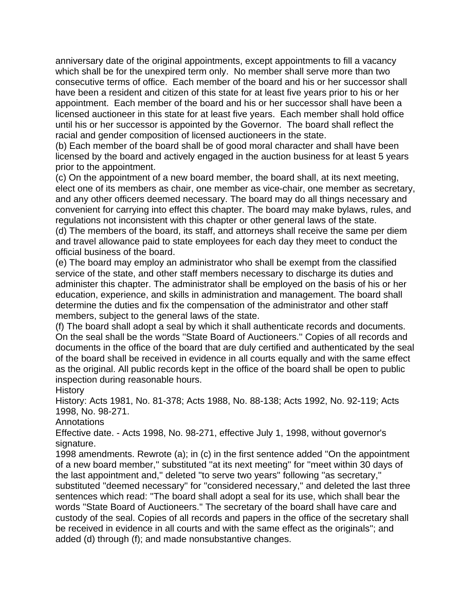anniversary date of the original appointments, except appointments to fill a vacancy which shall be for the unexpired term only. No member shall serve more than two consecutive terms of office. Each member of the board and his or her successor shall have been a resident and citizen of this state for at least five years prior to his or her appointment. Each member of the board and his or her successor shall have been a licensed auctioneer in this state for at least five years. Each member shall hold office until his or her successor is appointed by the Governor. The board shall reflect the racial and gender composition of licensed auctioneers in the state.

(b) Each member of the board shall be of good moral character and shall have been licensed by the board and actively engaged in the auction business for at least 5 years prior to the appointment.

(c) On the appointment of a new board member, the board shall, at its next meeting, elect one of its members as chair, one member as vice-chair, one member as secretary, and any other officers deemed necessary. The board may do all things necessary and convenient for carrying into effect this chapter. The board may make bylaws, rules, and regulations not inconsistent with this chapter or other general laws of the state.

(d) The members of the board, its staff, and attorneys shall receive the same per diem and travel allowance paid to state employees for each day they meet to conduct the official business of the board.

(e) The board may employ an administrator who shall be exempt from the classified service of the state, and other staff members necessary to discharge its duties and administer this chapter. The administrator shall be employed on the basis of his or her education, experience, and skills in administration and management. The board shall determine the duties and fix the compensation of the administrator and other staff members, subject to the general laws of the state.

(f) The board shall adopt a seal by which it shall authenticate records and documents. On the seal shall be the words ''State Board of Auctioneers.'' Copies of all records and documents in the office of the board that are duly certified and authenticated by the seal of the board shall be received in evidence in all courts equally and with the same effect as the original. All public records kept in the office of the board shall be open to public inspection during reasonable hours.

**History** 

History: Acts 1981, No. 81-378; Acts 1988, No. 88-138; Acts 1992, No. 92-119; Acts 1998, No. 98-271.

**Annotations** 

Effective date. - Acts 1998, No. 98-271, effective July 1, 1998, without governor's signature.

1998 amendments. Rewrote (a); in (c) in the first sentence added ''On the appointment of a new board member,'' substituted ''at its next meeting'' for ''meet within 30 days of the last appointment and,'' deleted ''to serve two years'' following ''as secretary,'' substituted ''deemed necessary'' for ''considered necessary,'' and deleted the last three sentences which read: ''The board shall adopt a seal for its use, which shall bear the words ''State Board of Auctioneers.'' The secretary of the board shall have care and custody of the seal. Copies of all records and papers in the office of the secretary shall be received in evidence in all courts and with the same effect as the originals''; and added (d) through (f); and made nonsubstantive changes.